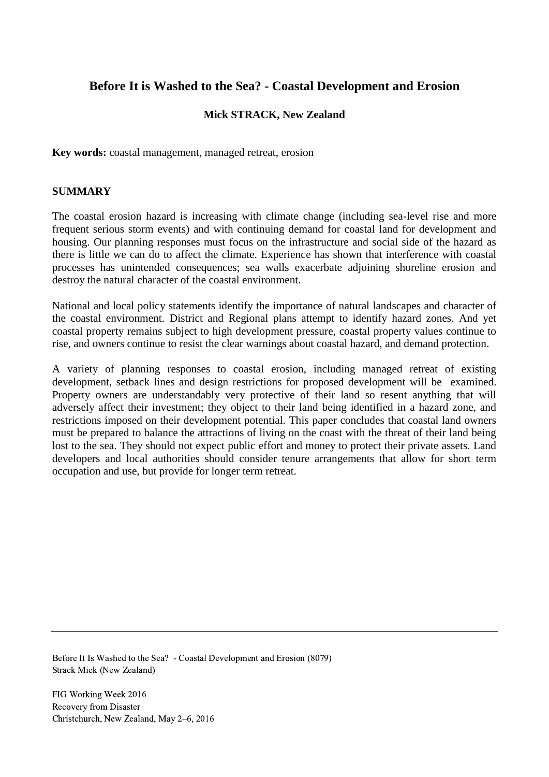# **Before It is Washed to the Sea? - Coastal Development and Erosion**

## **Mick STRACK, New Zealand**

**Key words:** coastal management, managed retreat, erosion

## **SUMMARY**

The coastal erosion hazard is increasing with climate change (including sea-level rise and more frequent serious storm events) and with continuing demand for coastal land for development and housing. Our planning responses must focus on the infrastructure and social side of the hazard as there is little we can do to affect the climate. Experience has shown that interference with coastal processes has unintended consequences; sea walls exacerbate adjoining shoreline erosion and destroy the natural character of the coastal environment.

National and local policy statements identify the importance of natural landscapes and character of the coastal environment. District and Regional plans attempt to identify hazard zones. And yet coastal property remains subject to high development pressure, coastal property values continue to rise, and owners continue to resist the clear warnings about coastal hazard, and demand protection.

A variety of planning responses to coastal erosion, including managed retreat of existing development, setback lines and design restrictions for proposed development will be examined. Property owners are understandably very protective of their land so resent anything that will adversely affect their investment; they object to their land being identified in a hazard zone, and restrictions imposed on their development potential. This paper concludes that coastal land owners must be prepared to balance the attractions of living on the coast with the threat of their land being lost to the sea. They should not expect public effort and money to protect their private assets. Land developers and local authorities should consider tenure arrangements that allow for short term occupation and use, but provide for longer term retreat.

Before It Is Washed to the Sea? - Coastal Development and Erosion (8079) Strack Mick (New Zealand)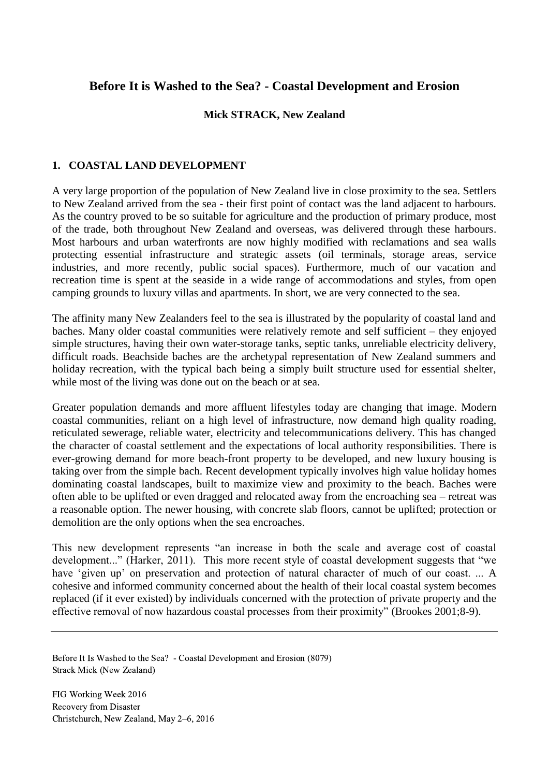# **Before It is Washed to the Sea? - Coastal Development and Erosion**

#### **Mick STRACK, New Zealand**

#### **1. COASTAL LAND DEVELOPMENT**

A very large proportion of the population of New Zealand live in close proximity to the sea. Settlers to New Zealand arrived from the sea - their first point of contact was the land adjacent to harbours. As the country proved to be so suitable for agriculture and the production of primary produce, most of the trade, both throughout New Zealand and overseas, was delivered through these harbours. Most harbours and urban waterfronts are now highly modified with reclamations and sea walls protecting essential infrastructure and strategic assets (oil terminals, storage areas, service industries, and more recently, public social spaces). Furthermore, much of our vacation and recreation time is spent at the seaside in a wide range of accommodations and styles, from open camping grounds to luxury villas and apartments. In short, we are very connected to the sea.

The affinity many New Zealanders feel to the sea is illustrated by the popularity of coastal land and baches. Many older coastal communities were relatively remote and self sufficient – they enjoyed simple structures, having their own water-storage tanks, septic tanks, unreliable electricity delivery, difficult roads. Beachside baches are the archetypal representation of New Zealand summers and holiday recreation, with the typical bach being a simply built structure used for essential shelter, while most of the living was done out on the beach or at sea.

Greater population demands and more affluent lifestyles today are changing that image. Modern coastal communities, reliant on a high level of infrastructure, now demand high quality roading, reticulated sewerage, reliable water, electricity and telecommunications delivery. This has changed the character of coastal settlement and the expectations of local authority responsibilities. There is ever-growing demand for more beach-front property to be developed, and new luxury housing is taking over from the simple bach. Recent development typically involves high value holiday homes dominating coastal landscapes, built to maximize view and proximity to the beach. Baches were often able to be uplifted or even dragged and relocated away from the encroaching sea – retreat was a reasonable option. The newer housing, with concrete slab floors, cannot be uplifted; protection or demolition are the only options when the sea encroaches.

This new development represents "an increase in both the scale and average cost of coastal development..." (Harker, 2011). This more recent style of coastal development suggests that "we have 'given up' on preservation and protection of natural character of much of our coast. ... A cohesive and informed community concerned about the health of their local coastal system becomes replaced (if it ever existed) by individuals concerned with the protection of private property and the effective removal of now hazardous coastal processes from their proximity" (Brookes 2001;8-9).

Before It Is Washed to the Sea? - Coastal Development and Erosion (8079) Strack Mick (New Zealand)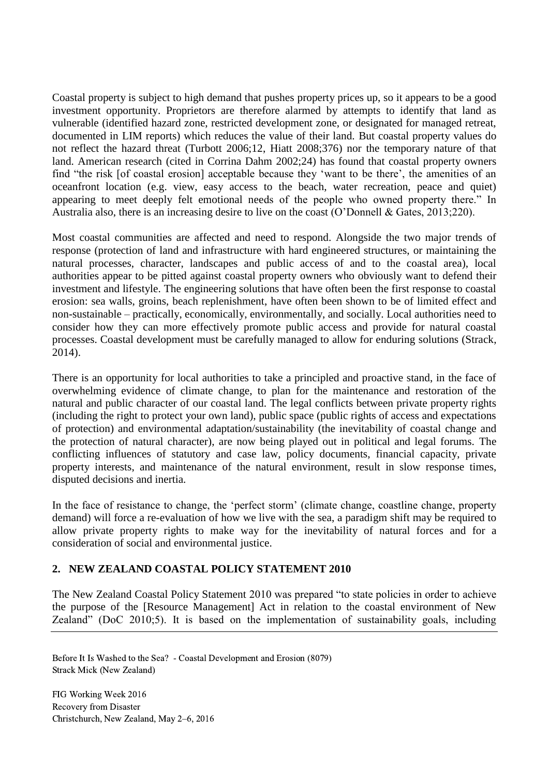Coastal property is subject to high demand that pushes property prices up, so it appears to be a good investment opportunity. Proprietors are therefore alarmed by attempts to identify that land as vulnerable (identified hazard zone, restricted development zone, or designated for managed retreat, documented in LIM reports) which reduces the value of their land. But coastal property values do not reflect the hazard threat (Turbott 2006;12, Hiatt 2008;376) nor the temporary nature of that land. American research (cited in Corrina Dahm 2002;24) has found that coastal property owners find "the risk [of coastal erosion] acceptable because they 'want to be there', the amenities of an oceanfront location (e.g. view, easy access to the beach, water recreation, peace and quiet) appearing to meet deeply felt emotional needs of the people who owned property there." In Australia also, there is an increasing desire to live on the coast (O'Donnell & Gates, 2013;220).

Most coastal communities are affected and need to respond. Alongside the two major trends of response (protection of land and infrastructure with hard engineered structures, or maintaining the natural processes, character, landscapes and public access of and to the coastal area), local authorities appear to be pitted against coastal property owners who obviously want to defend their investment and lifestyle. The engineering solutions that have often been the first response to coastal erosion: sea walls, groins, beach replenishment, have often been shown to be of limited effect and non-sustainable – practically, economically, environmentally, and socially. Local authorities need to consider how they can more effectively promote public access and provide for natural coastal processes. Coastal development must be carefully managed to allow for enduring solutions (Strack, 2014).

There is an opportunity for local authorities to take a principled and proactive stand, in the face of overwhelming evidence of climate change, to plan for the maintenance and restoration of the natural and public character of our coastal land. The legal conflicts between private property rights (including the right to protect your own land), public space (public rights of access and expectations of protection) and environmental adaptation/sustainability (the inevitability of coastal change and the protection of natural character), are now being played out in political and legal forums. The conflicting influences of statutory and case law, policy documents, financial capacity, private property interests, and maintenance of the natural environment, result in slow response times, disputed decisions and inertia.

In the face of resistance to change, the 'perfect storm' (climate change, coastline change, property demand) will force a re-evaluation of how we live with the sea, a paradigm shift may be required to allow private property rights to make way for the inevitability of natural forces and for a consideration of social and environmental justice.

## **2. NEW ZEALAND COASTAL POLICY STATEMENT 2010**

The New Zealand Coastal Policy Statement 2010 was prepared "to state policies in order to achieve the purpose of the [Resource Management] Act in relation to the coastal environment of New Zealand" (DoC 2010;5). It is based on the implementation of sustainability goals, including

Before It Is Washed to the Sea? - Coastal Development and Erosion (8079) Strack Mick (New Zealand)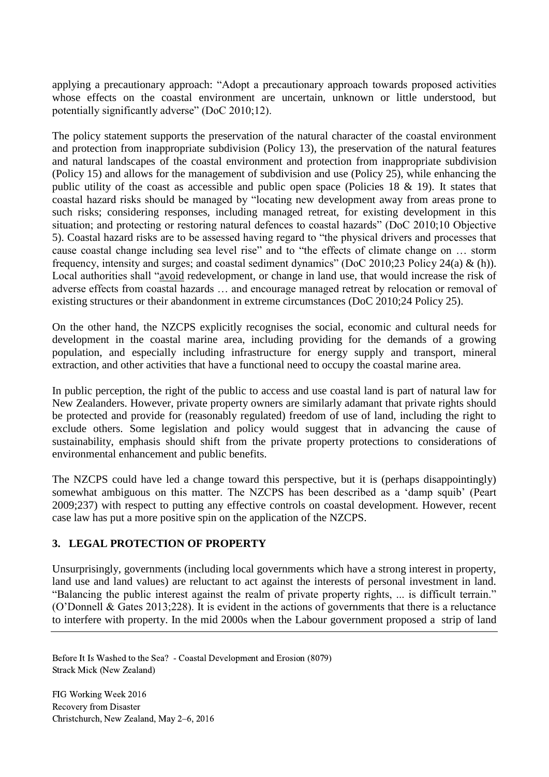applying a precautionary approach: "Adopt a precautionary approach towards proposed activities whose effects on the coastal environment are uncertain, unknown or little understood, but potentially significantly adverse" (DoC 2010;12).

The policy statement supports the preservation of the natural character of the coastal environment and protection from inappropriate subdivision (Policy 13), the preservation of the natural features and natural landscapes of the coastal environment and protection from inappropriate subdivision (Policy 15) and allows for the management of subdivision and use (Policy 25), while enhancing the public utility of the coast as accessible and public open space (Policies 18 & 19). It states that coastal hazard risks should be managed by "locating new development away from areas prone to such risks; considering responses, including managed retreat, for existing development in this situation; and protecting or restoring natural defences to coastal hazards" (DoC 2010;10 Objective 5). Coastal hazard risks are to be assessed having regard to "the physical drivers and processes that cause coastal change including sea level rise" and to "the effects of climate change on … storm frequency, intensity and surges; and coastal sediment dynamics" (DoC 2010;23 Policy 24(a) & (h)). Local authorities shall "avoid redevelopment, or change in land use, that would increase the risk of adverse effects from coastal hazards … and encourage managed retreat by relocation or removal of existing structures or their abandonment in extreme circumstances (DoC 2010;24 Policy 25).

On the other hand, the NZCPS explicitly recognises the social, economic and cultural needs for development in the coastal marine area, including providing for the demands of a growing population, and especially including infrastructure for energy supply and transport, mineral extraction, and other activities that have a functional need to occupy the coastal marine area.

In public perception, the right of the public to access and use coastal land is part of natural law for New Zealanders. However, private property owners are similarly adamant that private rights should be protected and provide for (reasonably regulated) freedom of use of land, including the right to exclude others. Some legislation and policy would suggest that in advancing the cause of sustainability, emphasis should shift from the private property protections to considerations of environmental enhancement and public benefits.

The NZCPS could have led a change toward this perspective, but it is (perhaps disappointingly) somewhat ambiguous on this matter. The NZCPS has been described as a 'damp squib' (Peart 2009;237) with respect to putting any effective controls on coastal development. However, recent case law has put a more positive spin on the application of the NZCPS.

# **3. LEGAL PROTECTION OF PROPERTY**

Unsurprisingly, governments (including local governments which have a strong interest in property, land use and land values) are reluctant to act against the interests of personal investment in land. "Balancing the public interest against the realm of private property rights, ... is difficult terrain." (O'Donnell & Gates 2013;228). It is evident in the actions of governments that there is a reluctance to interfere with property. In the mid 2000s when the Labour government proposed a strip of land

Before It Is Washed to the Sea? - Coastal Development and Erosion (8079) Strack Mick (New Zealand)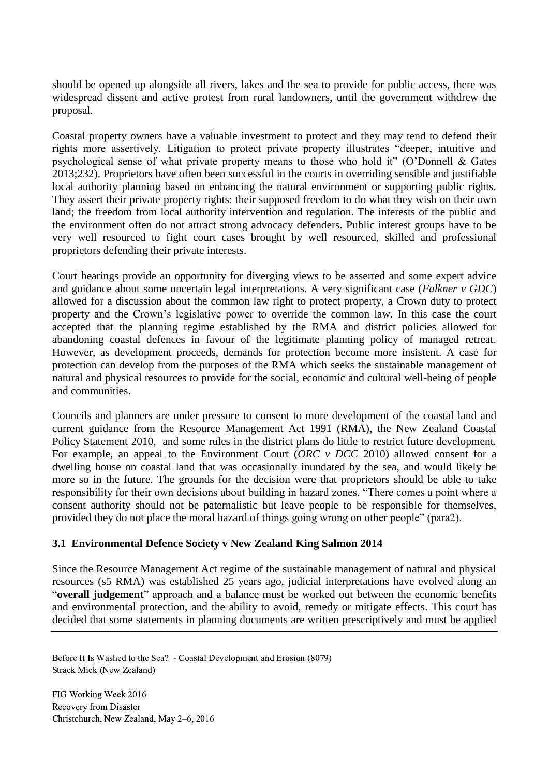should be opened up alongside all rivers, lakes and the sea to provide for public access, there was widespread dissent and active protest from rural landowners, until the government withdrew the proposal.

Coastal property owners have a valuable investment to protect and they may tend to defend their rights more assertively. Litigation to protect private property illustrates "deeper, intuitive and psychological sense of what private property means to those who hold it" (O'Donnell & Gates 2013;232). Proprietors have often been successful in the courts in overriding sensible and justifiable local authority planning based on enhancing the natural environment or supporting public rights. They assert their private property rights: their supposed freedom to do what they wish on their own land; the freedom from local authority intervention and regulation. The interests of the public and the environment often do not attract strong advocacy defenders. Public interest groups have to be very well resourced to fight court cases brought by well resourced, skilled and professional proprietors defending their private interests.

Court hearings provide an opportunity for diverging views to be asserted and some expert advice and guidance about some uncertain legal interpretations. A very significant case (*Falkner v GDC*) allowed for a discussion about the common law right to protect property, a Crown duty to protect property and the Crown's legislative power to override the common law. In this case the court accepted that the planning regime established by the RMA and district policies allowed for abandoning coastal defences in favour of the legitimate planning policy of managed retreat. However, as development proceeds, demands for protection become more insistent. A case for protection can develop from the purposes of the RMA which seeks the sustainable management of natural and physical resources to provide for the social, economic and cultural well-being of people and communities.

Councils and planners are under pressure to consent to more development of the coastal land and current guidance from the Resource Management Act 1991 (RMA), the New Zealand Coastal Policy Statement 2010, and some rules in the district plans do little to restrict future development. For example, an appeal to the Environment Court (*ORC v DCC* 2010) allowed consent for a dwelling house on coastal land that was occasionally inundated by the sea, and would likely be more so in the future. The grounds for the decision were that proprietors should be able to take responsibility for their own decisions about building in hazard zones. "There comes a point where a consent authority should not be paternalistic but leave people to be responsible for themselves, provided they do not place the moral hazard of things going wrong on other people" (para2).

## **3.1 Environmental Defence Society v New Zealand King Salmon 2014**

Since the Resource Management Act regime of the sustainable management of natural and physical resources (s5 RMA) was established 25 years ago, judicial interpretations have evolved along an "**overall judgement**" approach and a balance must be worked out between the economic benefits and environmental protection, and the ability to avoid, remedy or mitigate effects. This court has decided that some statements in planning documents are written prescriptively and must be applied

Before It Is Washed to the Sea? - Coastal Development and Erosion (8079) Strack Mick (New Zealand)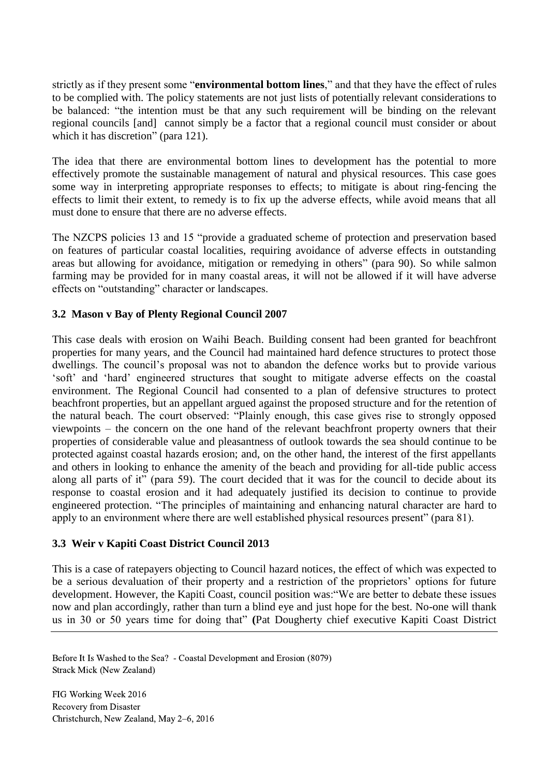strictly as if they present some "**environmental bottom lines**," and that they have the effect of rules to be complied with. The policy statements are not just lists of potentially relevant considerations to be balanced: "the intention must be that any such requirement will be binding on the relevant regional councils [and] cannot simply be a factor that a regional council must consider or about which it has discretion" (para 121).

The idea that there are environmental bottom lines to development has the potential to more effectively promote the sustainable management of natural and physical resources. This case goes some way in interpreting appropriate responses to effects; to mitigate is about ring-fencing the effects to limit their extent, to remedy is to fix up the adverse effects, while avoid means that all must done to ensure that there are no adverse effects.

The NZCPS policies 13 and 15 "provide a graduated scheme of protection and preservation based on features of particular coastal localities, requiring avoidance of adverse effects in outstanding areas but allowing for avoidance, mitigation or remedying in others" (para 90). So while salmon farming may be provided for in many coastal areas, it will not be allowed if it will have adverse effects on "outstanding" character or landscapes.

## **3.2 Mason v Bay of Plenty Regional Council 2007**

This case deals with erosion on Waihi Beach. Building consent had been granted for beachfront properties for many years, and the Council had maintained hard defence structures to protect those dwellings. The council's proposal was not to abandon the defence works but to provide various 'soft' and 'hard' engineered structures that sought to mitigate adverse effects on the coastal environment. The Regional Council had consented to a plan of defensive structures to protect beachfront properties, but an appellant argued against the proposed structure and for the retention of the natural beach. The court observed: "Plainly enough, this case gives rise to strongly opposed viewpoints – the concern on the one hand of the relevant beachfront property owners that their properties of considerable value and pleasantness of outlook towards the sea should continue to be protected against coastal hazards erosion; and, on the other hand, the interest of the first appellants and others in looking to enhance the amenity of the beach and providing for all-tide public access along all parts of it" (para 59). The court decided that it was for the council to decide about its response to coastal erosion and it had adequately justified its decision to continue to provide engineered protection. "The principles of maintaining and enhancing natural character are hard to apply to an environment where there are well established physical resources present" (para 81).

## **3.3 Weir v Kapiti Coast District Council 2013**

This is a case of ratepayers objecting to Council hazard notices, the effect of which was expected to be a serious devaluation of their property and a restriction of the proprietors' options for future development. However, the Kapiti Coast, council position was:"We are better to debate these issues now and plan accordingly, rather than turn a blind eye and just hope for the best. No-one will thank us in 30 or 50 years time for doing that" **(**Pat Dougherty chief executive Kapiti Coast District

Before It Is Washed to the Sea? - Coastal Development and Erosion (8079) Strack Mick (New Zealand)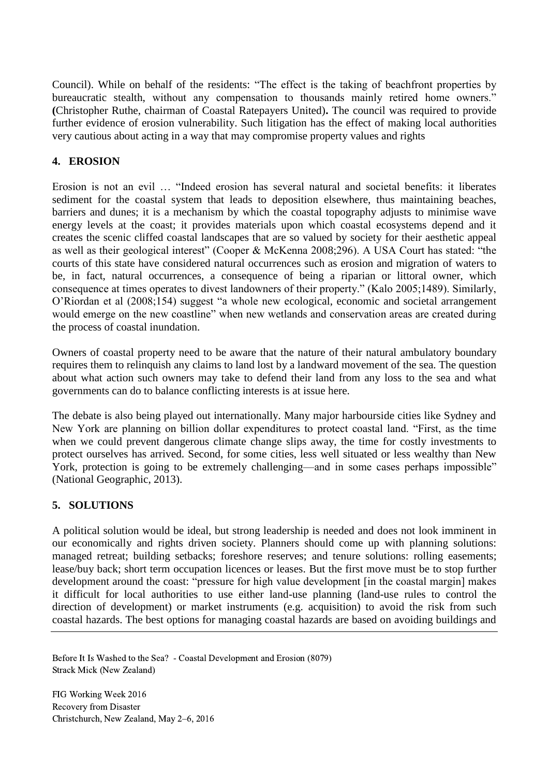Council). While on behalf of the residents: "The effect is the taking of beachfront properties by bureaucratic stealth, without any compensation to thousands mainly retired home owners." **(**Christopher Ruthe, chairman of Coastal Ratepayers United)**.** The council was required to provide further evidence of erosion vulnerability. Such litigation has the effect of making local authorities very cautious about acting in a way that may compromise property values and rights

## **4. EROSION**

Erosion is not an evil … "Indeed erosion has several natural and societal benefits: it liberates sediment for the coastal system that leads to deposition elsewhere, thus maintaining beaches, barriers and dunes; it is a mechanism by which the coastal topography adjusts to minimise wave energy levels at the coast; it provides materials upon which coastal ecosystems depend and it creates the scenic cliffed coastal landscapes that are so valued by society for their aesthetic appeal as well as their geological interest" (Cooper & McKenna 2008;296). A USA Court has stated: "the courts of this state have considered natural occurrences such as erosion and migration of waters to be, in fact, natural occurrences, a consequence of being a riparian or littoral owner, which consequence at times operates to divest landowners of their property." (Kalo 2005;1489). Similarly, O'Riordan et al (2008;154) suggest "a whole new ecological, economic and societal arrangement would emerge on the new coastline" when new wetlands and conservation areas are created during the process of coastal inundation.

Owners of coastal property need to be aware that the nature of their natural ambulatory boundary requires them to relinquish any claims to land lost by a landward movement of the sea. The question about what action such owners may take to defend their land from any loss to the sea and what governments can do to balance conflicting interests is at issue here.

The debate is also being played out internationally. Many major harbourside cities like Sydney and New York are planning on billion dollar expenditures to protect coastal land. "First, as the time when we could prevent dangerous climate change slips away, the time for costly investments to protect ourselves has arrived. Second, for some cities, less well situated or less wealthy than New York, protection is going to be extremely challenging—and in some cases perhaps impossible" (National Geographic, 2013).

## **5. SOLUTIONS**

A political solution would be ideal, but strong leadership is needed and does not look imminent in our economically and rights driven society. Planners should come up with planning solutions: managed retreat; building setbacks; foreshore reserves; and tenure solutions: rolling easements; lease/buy back; short term occupation licences or leases. But the first move must be to stop further development around the coast: "pressure for high value development [in the coastal margin] makes it difficult for local authorities to use either land-use planning (land-use rules to control the direction of development) or market instruments (e.g. acquisition) to avoid the risk from such coastal hazards. The best options for managing coastal hazards are based on avoiding buildings and

Before It Is Washed to the Sea? - Coastal Development and Erosion (8079) Strack Mick (New Zealand)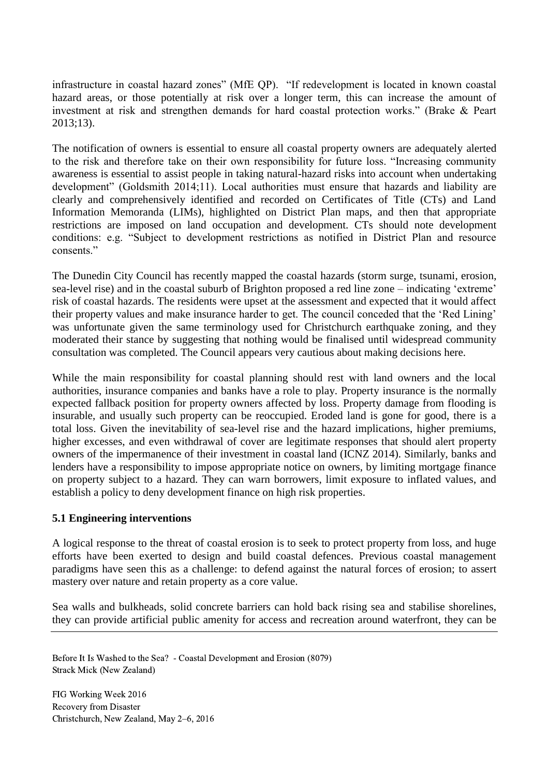infrastructure in coastal hazard zones" (MfE QP). "If redevelopment is located in known coastal hazard areas, or those potentially at risk over a longer term, this can increase the amount of investment at risk and strengthen demands for hard coastal protection works." (Brake & Peart 2013;13).

The notification of owners is essential to ensure all coastal property owners are adequately alerted to the risk and therefore take on their own responsibility for future loss. "Increasing community awareness is essential to assist people in taking natural-hazard risks into account when undertaking development" (Goldsmith 2014;11). Local authorities must ensure that hazards and liability are clearly and comprehensively identified and recorded on Certificates of Title (CTs) and Land Information Memoranda (LIMs), highlighted on District Plan maps, and then that appropriate restrictions are imposed on land occupation and development. CTs should note development conditions: e.g. "Subject to development restrictions as notified in District Plan and resource consents<sup>"</sup>

The Dunedin City Council has recently mapped the coastal hazards (storm surge, tsunami, erosion, sea-level rise) and in the coastal suburb of Brighton proposed a red line zone – indicating 'extreme' risk of coastal hazards. The residents were upset at the assessment and expected that it would affect their property values and make insurance harder to get. The council conceded that the 'Red Lining' was unfortunate given the same terminology used for Christchurch earthquake zoning, and they moderated their stance by suggesting that nothing would be finalised until widespread community consultation was completed. The Council appears very cautious about making decisions here.

While the main responsibility for coastal planning should rest with land owners and the local authorities, insurance companies and banks have a role to play. Property insurance is the normally expected fallback position for property owners affected by loss. Property damage from flooding is insurable, and usually such property can be reoccupied. Eroded land is gone for good, there is a total loss. Given the inevitability of sea-level rise and the hazard implications, higher premiums, higher excesses, and even withdrawal of cover are legitimate responses that should alert property owners of the impermanence of their investment in coastal land (ICNZ 2014). Similarly, banks and lenders have a responsibility to impose appropriate notice on owners, by limiting mortgage finance on property subject to a hazard. They can warn borrowers, limit exposure to inflated values, and establish a policy to deny development finance on high risk properties.

## **5.1 Engineering interventions**

A logical response to the threat of coastal erosion is to seek to protect property from loss, and huge efforts have been exerted to design and build coastal defences. Previous coastal management paradigms have seen this as a challenge: to defend against the natural forces of erosion; to assert mastery over nature and retain property as a core value.

Sea walls and bulkheads, solid concrete barriers can hold back rising sea and stabilise shorelines, they can provide artificial public amenity for access and recreation around waterfront, they can be

Before It Is Washed to the Sea? - Coastal Development and Erosion (8079) Strack Mick (New Zealand)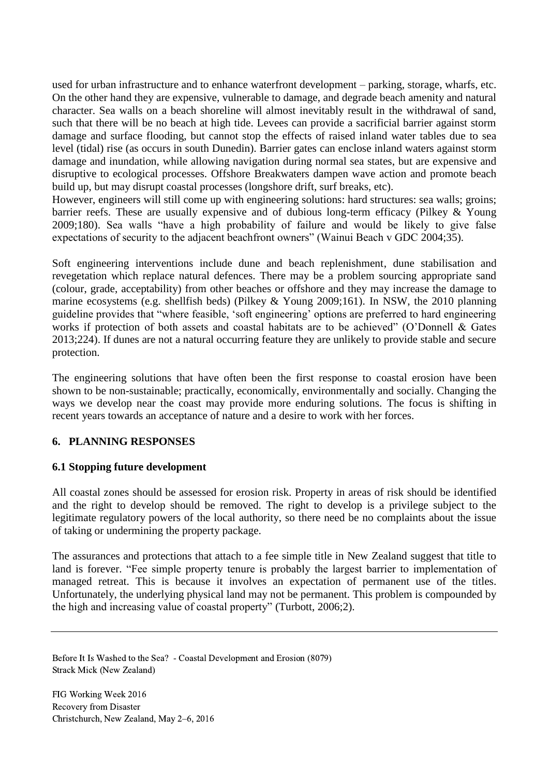used for urban infrastructure and to enhance waterfront development – parking, storage, wharfs, etc. On the other hand they are expensive, vulnerable to damage, and degrade beach amenity and natural character. Sea walls on a beach shoreline will almost inevitably result in the withdrawal of sand, such that there will be no beach at high tide. Levees can provide a sacrificial barrier against storm damage and surface flooding, but cannot stop the effects of raised inland water tables due to sea level (tidal) rise (as occurs in south Dunedin). Barrier gates can enclose inland waters against storm damage and inundation, while allowing navigation during normal sea states, but are expensive and disruptive to ecological processes. Offshore Breakwaters dampen wave action and promote beach build up, but may disrupt coastal processes (longshore drift, surf breaks, etc).

However, engineers will still come up with engineering solutions: hard structures: sea walls; groins; barrier reefs. These are usually expensive and of dubious long-term efficacy (Pilkey & Young 2009;180). Sea walls "have a high probability of failure and would be likely to give false expectations of security to the adjacent beachfront owners" (Wainui Beach v GDC 2004;35).

Soft engineering interventions include dune and beach replenishment, dune stabilisation and revegetation which replace natural defences. There may be a problem sourcing appropriate sand (colour, grade, acceptability) from other beaches or offshore and they may increase the damage to marine ecosystems (e.g. shellfish beds) (Pilkey & Young 2009;161). In NSW, the 2010 planning guideline provides that "where feasible, 'soft engineering' options are preferred to hard engineering works if protection of both assets and coastal habitats are to be achieved" (O'Donnell & Gates 2013;224). If dunes are not a natural occurring feature they are unlikely to provide stable and secure protection.

The engineering solutions that have often been the first response to coastal erosion have been shown to be non-sustainable; practically, economically, environmentally and socially. Changing the ways we develop near the coast may provide more enduring solutions. The focus is shifting in recent years towards an acceptance of nature and a desire to work with her forces.

## **6. PLANNING RESPONSES**

## **6.1 Stopping future development**

All coastal zones should be assessed for erosion risk. Property in areas of risk should be identified and the right to develop should be removed. The right to develop is a privilege subject to the legitimate regulatory powers of the local authority, so there need be no complaints about the issue of taking or undermining the property package.

The assurances and protections that attach to a fee simple title in New Zealand suggest that title to land is forever. "Fee simple property tenure is probably the largest barrier to implementation of managed retreat. This is because it involves an expectation of permanent use of the titles. Unfortunately, the underlying physical land may not be permanent. This problem is compounded by the high and increasing value of coastal property" (Turbott, 2006;2).

Before It Is Washed to the Sea? - Coastal Development and Erosion (8079) Strack Mick (New Zealand)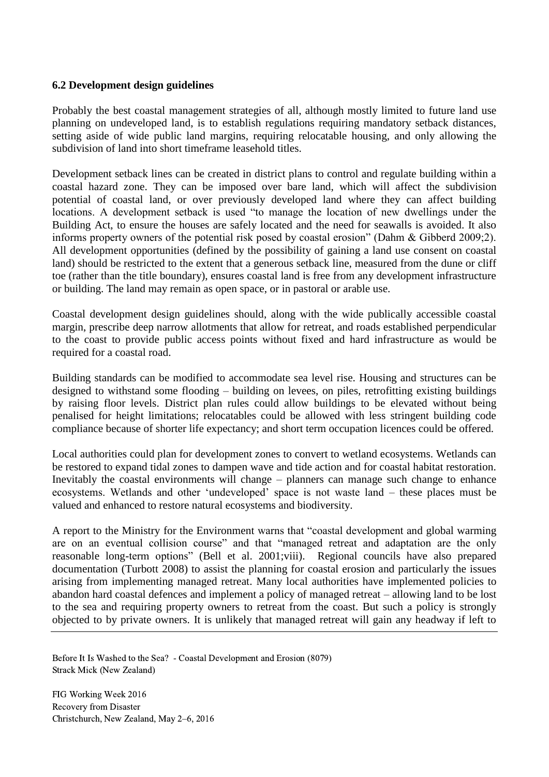#### **6.2 Development design guidelines**

Probably the best coastal management strategies of all, although mostly limited to future land use planning on undeveloped land, is to establish regulations requiring mandatory setback distances, setting aside of wide public land margins, requiring relocatable housing, and only allowing the subdivision of land into short timeframe leasehold titles.

Development setback lines can be created in district plans to control and regulate building within a coastal hazard zone. They can be imposed over bare land, which will affect the subdivision potential of coastal land, or over previously developed land where they can affect building locations. A development setback is used "to manage the location of new dwellings under the Building Act, to ensure the houses are safely located and the need for seawalls is avoided. It also informs property owners of the potential risk posed by coastal erosion" (Dahm & Gibberd 2009;2). All development opportunities (defined by the possibility of gaining a land use consent on coastal land) should be restricted to the extent that a generous setback line, measured from the dune or cliff toe (rather than the title boundary), ensures coastal land is free from any development infrastructure or building. The land may remain as open space, or in pastoral or arable use.

Coastal development design guidelines should, along with the wide publically accessible coastal margin, prescribe deep narrow allotments that allow for retreat, and roads established perpendicular to the coast to provide public access points without fixed and hard infrastructure as would be required for a coastal road.

Building standards can be modified to accommodate sea level rise. Housing and structures can be designed to withstand some flooding – building on levees, on piles, retrofitting existing buildings by raising floor levels. District plan rules could allow buildings to be elevated without being penalised for height limitations; relocatables could be allowed with less stringent building code compliance because of shorter life expectancy; and short term occupation licences could be offered.

Local authorities could plan for development zones to convert to wetland ecosystems. Wetlands can be restored to expand tidal zones to dampen wave and tide action and for coastal habitat restoration. Inevitably the coastal environments will change – planners can manage such change to enhance ecosystems. Wetlands and other 'undeveloped' space is not waste land – these places must be valued and enhanced to restore natural ecosystems and biodiversity.

A report to the Ministry for the Environment warns that "coastal development and global warming are on an eventual collision course" and that "managed retreat and adaptation are the only reasonable long-term options" (Bell et al. 2001;viii). Regional councils have also prepared documentation (Turbott 2008) to assist the planning for coastal erosion and particularly the issues arising from implementing managed retreat. Many local authorities have implemented policies to abandon hard coastal defences and implement a policy of managed retreat – allowing land to be lost to the sea and requiring property owners to retreat from the coast. But such a policy is strongly objected to by private owners. It is unlikely that managed retreat will gain any headway if left to

Before It Is Washed to the Sea? - Coastal Development and Erosion (8079) Strack Mick (New Zealand)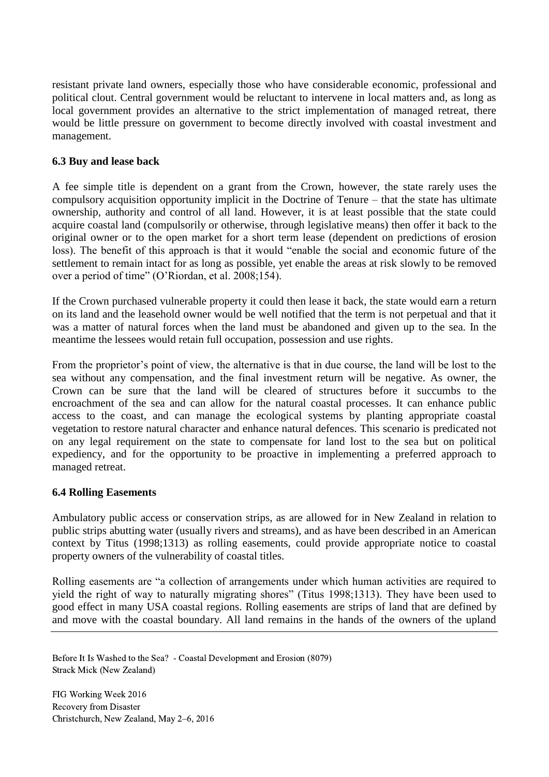resistant private land owners, especially those who have considerable economic, professional and political clout. Central government would be reluctant to intervene in local matters and, as long as local government provides an alternative to the strict implementation of managed retreat, there would be little pressure on government to become directly involved with coastal investment and management.

#### **6.3 Buy and lease back**

A fee simple title is dependent on a grant from the Crown, however, the state rarely uses the compulsory acquisition opportunity implicit in the Doctrine of Tenure – that the state has ultimate ownership, authority and control of all land. However, it is at least possible that the state could acquire coastal land (compulsorily or otherwise, through legislative means) then offer it back to the original owner or to the open market for a short term lease (dependent on predictions of erosion loss). The benefit of this approach is that it would "enable the social and economic future of the settlement to remain intact for as long as possible, yet enable the areas at risk slowly to be removed over a period of time" (O'Riordan, et al. 2008;154).

If the Crown purchased vulnerable property it could then lease it back, the state would earn a return on its land and the leasehold owner would be well notified that the term is not perpetual and that it was a matter of natural forces when the land must be abandoned and given up to the sea. In the meantime the lessees would retain full occupation, possession and use rights.

From the proprietor's point of view, the alternative is that in due course, the land will be lost to the sea without any compensation, and the final investment return will be negative. As owner, the Crown can be sure that the land will be cleared of structures before it succumbs to the encroachment of the sea and can allow for the natural coastal processes. It can enhance public access to the coast, and can manage the ecological systems by planting appropriate coastal vegetation to restore natural character and enhance natural defences. This scenario is predicated not on any legal requirement on the state to compensate for land lost to the sea but on political expediency, and for the opportunity to be proactive in implementing a preferred approach to managed retreat.

## **6.4 Rolling Easements**

Ambulatory public access or conservation strips, as are allowed for in New Zealand in relation to public strips abutting water (usually rivers and streams), and as have been described in an American context by Titus (1998;1313) as rolling easements, could provide appropriate notice to coastal property owners of the vulnerability of coastal titles.

Rolling easements are "a collection of arrangements under which human activities are required to yield the right of way to naturally migrating shores" (Titus 1998;1313). They have been used to good effect in many USA coastal regions. Rolling easements are strips of land that are defined by and move with the coastal boundary. All land remains in the hands of the owners of the upland

Before It Is Washed to the Sea? - Coastal Development and Erosion (8079) Strack Mick (New Zealand)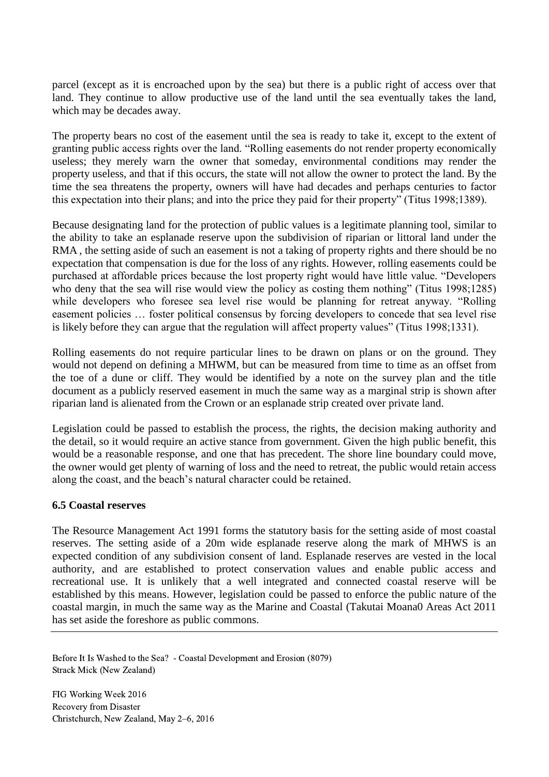parcel (except as it is encroached upon by the sea) but there is a public right of access over that land. They continue to allow productive use of the land until the sea eventually takes the land, which may be decades away.

The property bears no cost of the easement until the sea is ready to take it, except to the extent of granting public access rights over the land. "Rolling easements do not render property economically useless; they merely warn the owner that someday, environmental conditions may render the property useless, and that if this occurs, the state will not allow the owner to protect the land. By the time the sea threatens the property, owners will have had decades and perhaps centuries to factor this expectation into their plans; and into the price they paid for their property" (Titus 1998;1389).

Because designating land for the protection of public values is a legitimate planning tool, similar to the ability to take an esplanade reserve upon the subdivision of riparian or littoral land under the RMA , the setting aside of such an easement is not a taking of property rights and there should be no expectation that compensation is due for the loss of any rights. However, rolling easements could be purchased at affordable prices because the lost property right would have little value. "Developers who deny that the sea will rise would view the policy as costing them nothing" (Titus 1998;1285) while developers who foresee sea level rise would be planning for retreat anyway. "Rolling easement policies … foster political consensus by forcing developers to concede that sea level rise is likely before they can argue that the regulation will affect property values" (Titus 1998;1331).

Rolling easements do not require particular lines to be drawn on plans or on the ground. They would not depend on defining a MHWM, but can be measured from time to time as an offset from the toe of a dune or cliff. They would be identified by a note on the survey plan and the title document as a publicly reserved easement in much the same way as a marginal strip is shown after riparian land is alienated from the Crown or an esplanade strip created over private land.

Legislation could be passed to establish the process, the rights, the decision making authority and the detail, so it would require an active stance from government. Given the high public benefit, this would be a reasonable response, and one that has precedent. The shore line boundary could move, the owner would get plenty of warning of loss and the need to retreat, the public would retain access along the coast, and the beach's natural character could be retained.

#### **6.5 Coastal reserves**

The Resource Management Act 1991 forms the statutory basis for the setting aside of most coastal reserves. The setting aside of a 20m wide esplanade reserve along the mark of MHWS is an expected condition of any subdivision consent of land. Esplanade reserves are vested in the local authority, and are established to protect conservation values and enable public access and recreational use. It is unlikely that a well integrated and connected coastal reserve will be established by this means. However, legislation could be passed to enforce the public nature of the coastal margin, in much the same way as the Marine and Coastal (Takutai Moana0 Areas Act 2011 has set aside the foreshore as public commons.

Before It Is Washed to the Sea? - Coastal Development and Erosion (8079) Strack Mick (New Zealand)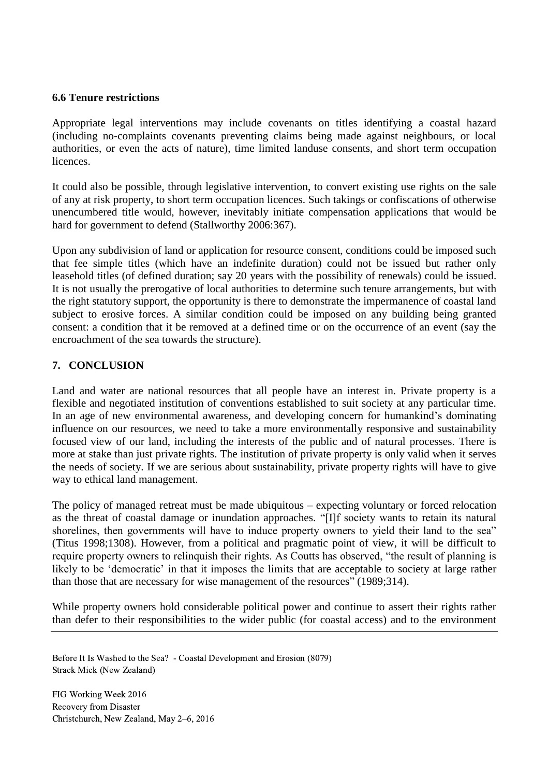#### **6.6 Tenure restrictions**

Appropriate legal interventions may include covenants on titles identifying a coastal hazard (including no-complaints covenants preventing claims being made against neighbours, or local authorities, or even the acts of nature), time limited landuse consents, and short term occupation **licences** 

It could also be possible, through legislative intervention, to convert existing use rights on the sale of any at risk property, to short term occupation licences. Such takings or confiscations of otherwise unencumbered title would, however, inevitably initiate compensation applications that would be hard for government to defend (Stallworthy 2006:367).

Upon any subdivision of land or application for resource consent, conditions could be imposed such that fee simple titles (which have an indefinite duration) could not be issued but rather only leasehold titles (of defined duration; say 20 years with the possibility of renewals) could be issued. It is not usually the prerogative of local authorities to determine such tenure arrangements, but with the right statutory support, the opportunity is there to demonstrate the impermanence of coastal land subject to erosive forces. A similar condition could be imposed on any building being granted consent: a condition that it be removed at a defined time or on the occurrence of an event (say the encroachment of the sea towards the structure).

# **7. CONCLUSION**

Land and water are national resources that all people have an interest in. Private property is a flexible and negotiated institution of conventions established to suit society at any particular time. In an age of new environmental awareness, and developing concern for humankind's dominating influence on our resources, we need to take a more environmentally responsive and sustainability focused view of our land, including the interests of the public and of natural processes. There is more at stake than just private rights. The institution of private property is only valid when it serves the needs of society. If we are serious about sustainability, private property rights will have to give way to ethical land management.

The policy of managed retreat must be made ubiquitous – expecting voluntary or forced relocation as the threat of coastal damage or inundation approaches. "[I]f society wants to retain its natural shorelines, then governments will have to induce property owners to yield their land to the sea" (Titus 1998;1308). However, from a political and pragmatic point of view, it will be difficult to require property owners to relinquish their rights. As Coutts has observed, "the result of planning is likely to be 'democratic' in that it imposes the limits that are acceptable to society at large rather than those that are necessary for wise management of the resources" (1989;314).

While property owners hold considerable political power and continue to assert their rights rather than defer to their responsibilities to the wider public (for coastal access) and to the environment

Before It Is Washed to the Sea? - Coastal Development and Erosion (8079) Strack Mick (New Zealand)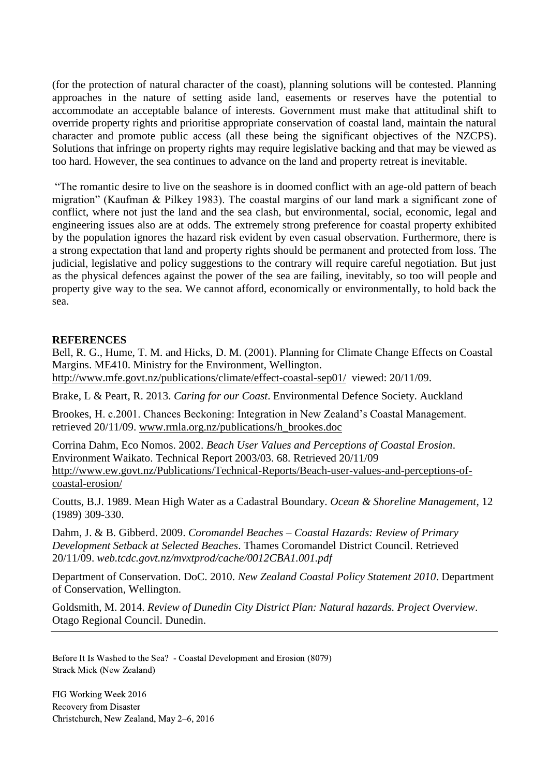(for the protection of natural character of the coast), planning solutions will be contested. Planning approaches in the nature of setting aside land, easements or reserves have the potential to accommodate an acceptable balance of interests. Government must make that attitudinal shift to override property rights and prioritise appropriate conservation of coastal land, maintain the natural character and promote public access (all these being the significant objectives of the NZCPS). Solutions that infringe on property rights may require legislative backing and that may be viewed as too hard. However, the sea continues to advance on the land and property retreat is inevitable.

"The romantic desire to live on the seashore is in doomed conflict with an age-old pattern of beach migration" (Kaufman & Pilkey 1983). The coastal margins of our land mark a significant zone of conflict, where not just the land and the sea clash, but environmental, social, economic, legal and engineering issues also are at odds. The extremely strong preference for coastal property exhibited by the population ignores the hazard risk evident by even casual observation. Furthermore, there is a strong expectation that land and property rights should be permanent and protected from loss. The judicial, legislative and policy suggestions to the contrary will require careful negotiation. But just as the physical defences against the power of the sea are failing, inevitably, so too will people and property give way to the sea. We cannot afford, economically or environmentally, to hold back the sea.

#### **REFERENCES**

Bell, R. G., Hume, T. M. and Hicks, D. M. (2001). Planning for Climate Change Effects on Coastal Margins. ME410. Ministry for the Environment, Wellington. <http://www.mfe.govt.nz/publications/climate/effect-coastal-sep01/>viewed: 20/11/09.

Brake, L & Peart, R. 2013. *Caring for our Coast*. Environmental Defence Society. Auckland

Brookes, H. c.2001. Chances Beckoning: Integration in New Zealand's Coastal Management. retrieved 20/11/09. [www.rmla.org.nz/publications/h\\_brookes.doc](http://www.rmla.org.nz/publications/h_brookes.doc)

Corrina Dahm, Eco Nomos. 2002. *Beach User Values and Perceptions of Coastal Erosion*. Environment Waikato. Technical Report 2003/03. 68. Retrieved 20/11/09 [http://www.ew.govt.nz/Publications/Technical-Reports/Beach-user-values-and-perceptions-of](http://www.ew.govt.nz/Publications/Technical-Reports/Beach-user-values-and-perceptions-of-coastal-erosion/)[coastal-erosion/](http://www.ew.govt.nz/Publications/Technical-Reports/Beach-user-values-and-perceptions-of-coastal-erosion/)

Coutts, B.J. 1989. Mean High Water as a Cadastral Boundary. *Ocean & Shoreline Management*, 12 (1989) 309-330.

Dahm, J. & B. Gibberd. 2009. *Coromandel Beaches – Coastal Hazards: Review of Primary Development Setback at Selected Beaches*. Thames Coromandel District Council. Retrieved 20/11/09. *web.tcdc.govt.nz/mvxtprod/cache/0012CBA1.001.pdf*

Department of Conservation. DoC. 2010. *New Zealand Coastal Policy Statement 2010*. Department of Conservation, Wellington.

Goldsmith, M. 2014. *Review of Dunedin City District Plan: Natural hazards. Project Overview*. Otago Regional Council. Dunedin.

Before It Is Washed to the Sea? - Coastal Development and Erosion (8079) Strack Mick (New Zealand)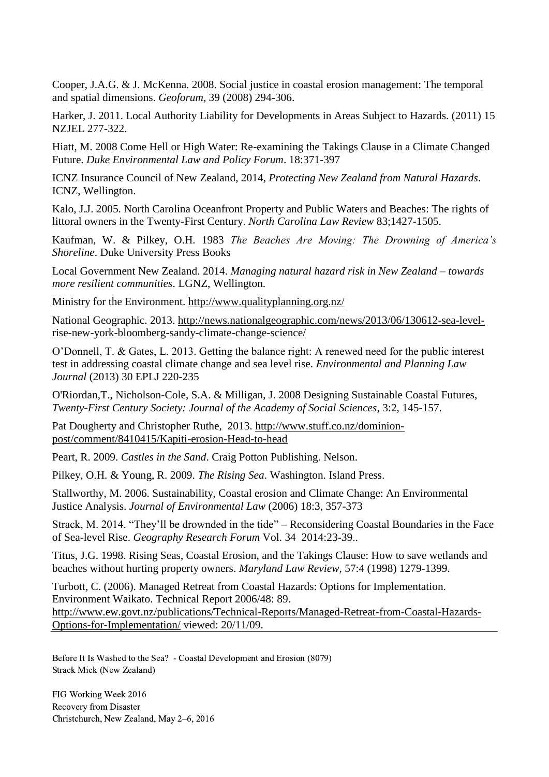Cooper, J.A.G. & J. McKenna. 2008. Social justice in coastal erosion management: The temporal and spatial dimensions. *Geoforum,* 39 (2008) 294-306.

Harker, J. 2011. Local Authority Liability for Developments in Areas Subject to Hazards. (2011) 15 NZJEL 277-322.

Hiatt, M. 2008 Come Hell or High Water: Re-examining the Takings Clause in a Climate Changed Future. *Duke Environmental Law and Policy Forum*. 18:371-397

ICNZ Insurance Council of New Zealand, 2014, *Protecting New Zealand from Natural Hazards*. ICNZ, Wellington.

Kalo, J.J. 2005. North Carolina Oceanfront Property and Public Waters and Beaches: The rights of littoral owners in the Twenty-First Century. *North Carolina Law Review* 83;1427-1505.

Kaufman, W. & Pilkey, O.H. 1983 *The Beaches Are Moving: The Drowning of America's Shoreline*. Duke University Press Books

Local Government New Zealand. 2014. *Managing natural hazard risk in New Zealand – towards more resilient communities*. LGNZ, Wellington.

Ministry for the Environment.<http://www.qualityplanning.org.nz/>

National Geographic. 2013. [http://news.nationalgeographic.com/news/2013/06/130612-sea-level](http://news.nationalgeographic.com/news/2013/06/130612-sea-level-rise-new-york-bloomberg-sandy-climate-change-science/)[rise-new-york-bloomberg-sandy-climate-change-science/](http://news.nationalgeographic.com/news/2013/06/130612-sea-level-rise-new-york-bloomberg-sandy-climate-change-science/)

O'Donnell, T. & Gates, L. 2013. Getting the balance right: A renewed need for the public interest test in addressing coastal climate change and sea level rise. *Environmental and Planning Law Journal* (2013) 30 EPLJ 220-235

O'Riordan,T., Nicholson-Cole, S.A. & Milligan, J. 2008 Designing Sustainable Coastal Futures, *Twenty-First Century Society: Journal of the Academy of Social Sciences*, 3:2, 145-157.

Pat Dougherty and Christopher Ruthe, 2013. [http://www.stuff.co.nz/dominion](http://www.stuff.co.nz/dominion-post/comment/8410415/Kapiti-erosion-Head-to-head)[post/comment/8410415/Kapiti-erosion-Head-to-head](http://www.stuff.co.nz/dominion-post/comment/8410415/Kapiti-erosion-Head-to-head)

Peart, R. 2009. *Castles in the Sand*. Craig Potton Publishing. Nelson.

Pilkey, O.H. & Young, R. 2009. *The Rising Sea*. Washington. Island Press.

Stallworthy, M. 2006. Sustainability, Coastal erosion and Climate Change: An Environmental Justice Analysis. *Journal of Environmental Law* (2006) 18:3, 357-373

Strack, M. 2014. "They'll be drownded in the tide" – Reconsidering Coastal Boundaries in the Face of Sea-level Rise. *Geography Research Forum* Vol. 34 2014:23-39..

Titus, J.G. 1998. Rising Seas, Coastal Erosion, and the Takings Clause: How to save wetlands and beaches without hurting property owners. *Maryland Law Review,* 57:4 (1998) 1279-1399.

Turbott, C. (2006). Managed Retreat from Coastal Hazards: Options for Implementation. Environment Waikato. Technical Report 2006/48: 89. [http://www.ew.govt.nz/publications/Technical-Reports/Managed-Retreat-from-Coastal-Hazards-](http://www.ew.govt.nz/publications/Technical-Reports/Managed-Retreat-from-Coastal-Hazards-Options-for-Implementation/)[Options-for-Implementation/](http://www.ew.govt.nz/publications/Technical-Reports/Managed-Retreat-from-Coastal-Hazards-Options-for-Implementation/) viewed: 20/11/09.

Before It Is Washed to the Sea? - Coastal Development and Erosion (8079) Strack Mick (New Zealand)